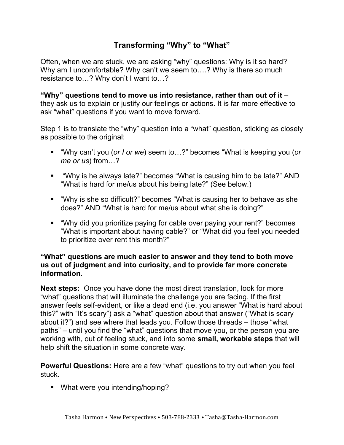## **Transforming "Why" to "What"**

Often, when we are stuck, we are asking "why" questions: Why is it so hard? Why am I uncomfortable? Why can't we seem to....? Why is there so much resistance to…? Why don't I want to…?

**"Why" questions tend to move us into resistance, rather than out of it** – they ask us to explain or justify our feelings or actions. It is far more effective to ask "what" questions if you want to move forward.

Step 1 is to translate the "why" question into a "what" question, sticking as closely as possible to the original:

- § "Why can't you (*or I or we*) seem to…?" becomes "What is keeping you (*or me or us*) from…?
- § "Why is he always late?" becomes "What is causing him to be late?" AND "What is hard for me/us about his being late?" (See below.)
- § "Why is she so difficult?" becomes "What is causing her to behave as she does?" AND "What is hard for me/us about what she is doing?"
- § "Why did you prioritize paying for cable over paying your rent?" becomes "What is important about having cable?" or "What did you feel you needed to prioritize over rent this month?"

## **"What" questions are much easier to answer and they tend to both move us out of judgment and into curiosity, and to provide far more concrete information.**

**Next steps:** Once you have done the most direct translation, look for more "what" questions that will illuminate the challenge you are facing. If the first answer feels self-evident, or like a dead end (i.e. you answer "What is hard about this?" with "It's scary") ask a "what" question about that answer ("What is scary about it?") and see where that leads you. Follow those threads – those "what paths" – until you find the "what" questions that move you, or the person you are working with, out of feeling stuck, and into some **small, workable steps** that will help shift the situation in some concrete way.

**Powerful Questions:** Here are a few "what" questions to try out when you feel stuck.

• What were you intending/hoping?